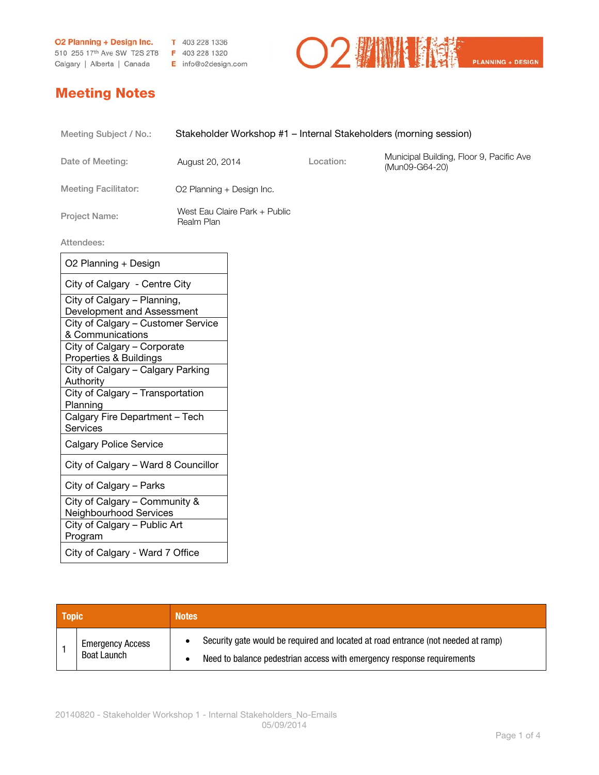**O2 Planning + Design Inc.** T 403 228 1336<br>510 255 17<sup>th</sup> Ave SW T2S 2T8 F 403 228 1320

Calgary | Alberta | Canada E info@o2design.com



## Meeting Notes

| Meeting Subject / No.:      | Stakeholder Workshop #1 – Internal Stakeholders (morning session) |           |                                                            |
|-----------------------------|-------------------------------------------------------------------|-----------|------------------------------------------------------------|
| Date of Meeting:            | August 20, 2014                                                   | Location: | Municipal Building, Floor 9, Pacific Ave<br>(Mun09-G64-20) |
| <b>Meeting Facilitator:</b> | O2 Planning + Design Inc.                                         |           |                                                            |
| <b>Project Name:</b>        | West Eau Claire Park + Public<br>Realm Plan                       |           |                                                            |
| Attendees:                  |                                                                   |           |                                                            |
| 00 Dignoing : Dooign        |                                                                   |           |                                                            |

| O2 Planning + Design                                      |
|-----------------------------------------------------------|
| City of Calgary - Centre City                             |
| City of Calgary - Planning,<br>Development and Assessment |
| City of Calgary - Customer Service<br>& Communications    |
| City of Calgary - Corporate<br>Properties & Buildings     |
| City of Calgary - Calgary Parking<br>Authority            |
| City of Calgary - Transportation<br>Planning              |
| Calgary Fire Department - Tech<br>Services                |
| <b>Calgary Police Service</b>                             |
| City of Calgary - Ward 8 Councillor                       |
| City of Calgary - Parks                                   |
| City of Calgary - Community &<br>Neighbourhood Services   |
| City of Calgary - Public Art<br>Program                   |
| City of Calgary - Ward 7 Office                           |

| <b>Topic</b> |                                               | <b>Notes</b> |                                                                                                                                                             |
|--------------|-----------------------------------------------|--------------|-------------------------------------------------------------------------------------------------------------------------------------------------------------|
|              | <b>Emergency Access</b><br><b>Boat Launch</b> |              | Security gate would be required and located at road entrance (not needed at ramp)<br>Need to balance pedestrian access with emergency response requirements |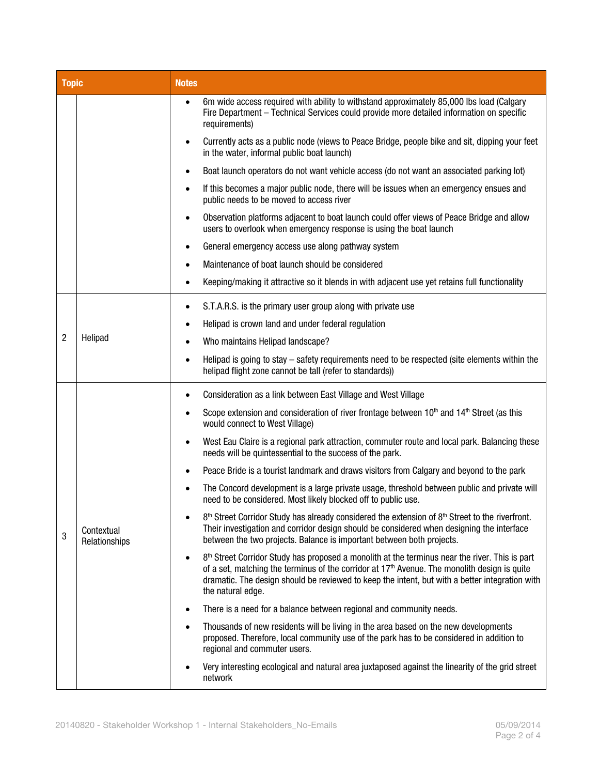| <b>Topic</b> |                             | <b>Notes</b>                                                                                                                                                                                                                                                                                                                           |
|--------------|-----------------------------|----------------------------------------------------------------------------------------------------------------------------------------------------------------------------------------------------------------------------------------------------------------------------------------------------------------------------------------|
|              |                             | 6m wide access required with ability to withstand approximately 85,000 lbs load (Calgary<br>$\bullet$<br>Fire Department - Technical Services could provide more detailed information on specific<br>requirements)                                                                                                                     |
|              |                             | Currently acts as a public node (views to Peace Bridge, people bike and sit, dipping your feet<br>in the water, informal public boat launch)                                                                                                                                                                                           |
|              |                             | Boat launch operators do not want vehicle access (do not want an associated parking lot)                                                                                                                                                                                                                                               |
|              |                             | If this becomes a major public node, there will be issues when an emergency ensues and<br>public needs to be moved to access river                                                                                                                                                                                                     |
|              |                             | Observation platforms adjacent to boat launch could offer views of Peace Bridge and allow<br>$\bullet$<br>users to overlook when emergency response is using the boat launch                                                                                                                                                           |
|              |                             | General emergency access use along pathway system<br>٠                                                                                                                                                                                                                                                                                 |
|              |                             | Maintenance of boat launch should be considered<br>٠                                                                                                                                                                                                                                                                                   |
|              |                             | Keeping/making it attractive so it blends in with adjacent use yet retains full functionality                                                                                                                                                                                                                                          |
|              | Helipad                     | S.T.A.R.S. is the primary user group along with private use<br>٠                                                                                                                                                                                                                                                                       |
|              |                             | Helipad is crown land and under federal regulation<br>٠                                                                                                                                                                                                                                                                                |
| 2            |                             | Who maintains Helipad landscape?                                                                                                                                                                                                                                                                                                       |
|              |                             | Helipad is going to stay - safety requirements need to be respected (site elements within the<br>٠<br>helipad flight zone cannot be tall (refer to standards))                                                                                                                                                                         |
|              | Contextual<br>Relationships | Consideration as a link between East Village and West Village<br>$\bullet$                                                                                                                                                                                                                                                             |
|              |                             | Scope extension and consideration of river frontage between 10 <sup>th</sup> and 14 <sup>th</sup> Street (as this<br>would connect to West Village)                                                                                                                                                                                    |
|              |                             | West Eau Claire is a regional park attraction, commuter route and local park. Balancing these<br>٠<br>needs will be quintessential to the success of the park.                                                                                                                                                                         |
|              |                             | Peace Bride is a tourist landmark and draws visitors from Calgary and beyond to the park                                                                                                                                                                                                                                               |
| 3            |                             | The Concord development is a large private usage, threshold between public and private will<br>need to be considered. Most likely blocked off to public use.                                                                                                                                                                           |
|              |                             | $8th$ Street Corridor Study has already considered the extension of $8th$ Street to the riverfront.<br>Their investigation and corridor design should be considered when designing the interface<br>between the two projects. Balance is important between both projects.                                                              |
|              |                             | $8th$ Street Corridor Study has proposed a monolith at the terminus near the river. This is part<br>$\bullet$<br>of a set, matching the terminus of the corridor at $17th$ Avenue. The monolith design is quite<br>dramatic. The design should be reviewed to keep the intent, but with a better integration with<br>the natural edge. |
|              |                             | There is a need for a balance between regional and community needs.                                                                                                                                                                                                                                                                    |
|              |                             | Thousands of new residents will be living in the area based on the new developments<br>proposed. Therefore, local community use of the park has to be considered in addition to<br>regional and commuter users.                                                                                                                        |
|              |                             | Very interesting ecological and natural area juxtaposed against the linearity of the grid street<br>network                                                                                                                                                                                                                            |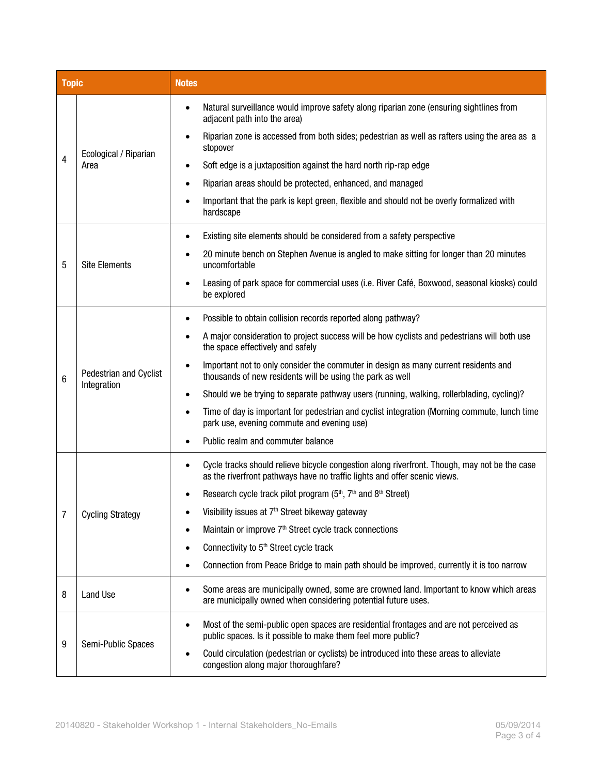| <b>Topic</b> |                                       | <b>Notes</b>                                                                                                                                                              |
|--------------|---------------------------------------|---------------------------------------------------------------------------------------------------------------------------------------------------------------------------|
| 4            | Ecological / Riparian<br>Area         | Natural surveillance would improve safety along riparian zone (ensuring sightlines from<br>adjacent path into the area)                                                   |
|              |                                       | Riparian zone is accessed from both sides; pedestrian as well as rafters using the area as a<br>stopover                                                                  |
|              |                                       | Soft edge is a juxtaposition against the hard north rip-rap edge                                                                                                          |
|              |                                       | Riparian areas should be protected, enhanced, and managed<br>$\bullet$                                                                                                    |
|              |                                       | Important that the park is kept green, flexible and should not be overly formalized with<br>hardscape                                                                     |
|              | <b>Site Elements</b>                  | Existing site elements should be considered from a safety perspective                                                                                                     |
| 5            |                                       | 20 minute bench on Stephen Avenue is angled to make sitting for longer than 20 minutes<br>uncomfortable                                                                   |
|              |                                       | Leasing of park space for commercial uses (i.e. River Café, Boxwood, seasonal kiosks) could<br>be explored                                                                |
|              | Pedestrian and Cyclist<br>Integration | Possible to obtain collision records reported along pathway?                                                                                                              |
|              |                                       | A major consideration to project success will be how cyclists and pedestrians will both use<br>the space effectively and safely                                           |
| 6            |                                       | Important not to only consider the commuter in design as many current residents and<br>thousands of new residents will be using the park as well                          |
|              |                                       | Should we be trying to separate pathway users (running, walking, rollerblading, cycling)?<br>$\bullet$                                                                    |
|              |                                       | Time of day is important for pedestrian and cyclist integration (Morning commute, lunch time<br>park use, evening commute and evening use)                                |
|              |                                       | Public realm and commuter balance                                                                                                                                         |
|              | <b>Cycling Strategy</b>               | Cycle tracks should relieve bicycle congestion along riverfront. Though, may not be the case<br>as the riverfront pathways have no traffic lights and offer scenic views. |
|              |                                       | Research cycle track pilot program (5 <sup>th</sup> , 7 <sup>th</sup> and 8 <sup>th</sup> Street)                                                                         |
| 7            |                                       | Visibility issues at 7 <sup>th</sup> Street bikeway gateway                                                                                                               |
|              |                                       | Maintain or improve 7 <sup>th</sup> Street cycle track connections                                                                                                        |
|              |                                       | Connectivity to 5 <sup>th</sup> Street cycle track                                                                                                                        |
|              |                                       | Connection from Peace Bridge to main path should be improved, currently it is too narrow                                                                                  |
| 8            | Land Use                              | Some areas are municipally owned, some are crowned land. Important to know which areas<br>$\bullet$<br>are municipally owned when considering potential future uses.      |
|              | Semi-Public Spaces                    | Most of the semi-public open spaces are residential frontages and are not perceived as<br>$\bullet$<br>public spaces. Is it possible to make them feel more public?       |
| 9            |                                       | Could circulation (pedestrian or cyclists) be introduced into these areas to alleviate<br>$\bullet$<br>congestion along major thoroughfare?                               |